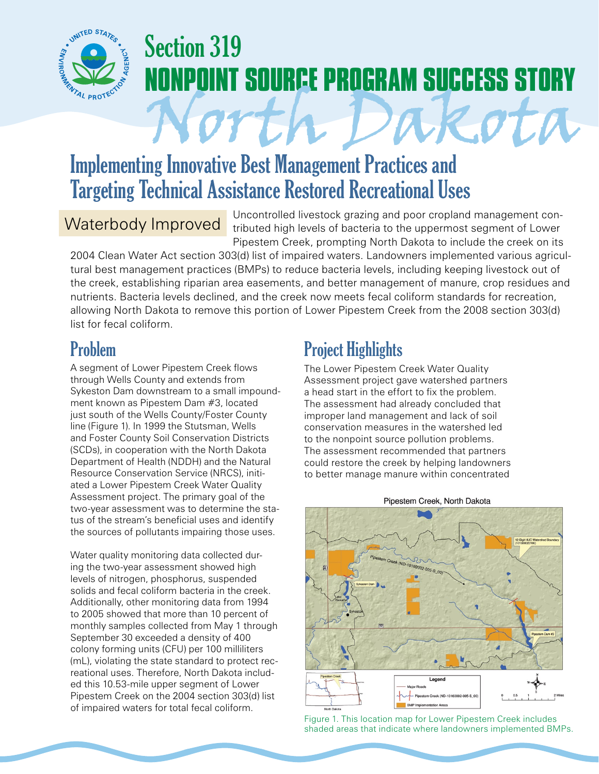

# Section 319 **IPOINT SOURCE PROGRAM SUCCESS STORY**

## Implementing Innovative Best Management Practices and Targeting Technical Assistance Restored Recreational Uses

### Waterbody Improved

Uncontrolled livestock grazing and poor cropland management contributed high levels of bacteria to the uppermost segment of Lower Pipestem Creek, prompting North Dakota to include the creek on its

North Dakota

2004 Clean Water Act section 303(d) list of impaired waters. Landowners implemented various agricultural best management practices (BMPs) to reduce bacteria levels, including keeping livestock out of the creek, establishing riparian area easements, and better management of manure, crop residues and nutrients. Bacteria levels declined, and the creek now meets fecal coliform standards for recreation, allowing North Dakota to remove this portion of Lower Pipestem Creek from the 2008 section 303(d) list for fecal coliform.

## Problem

A segment of Lower Pipestem Creek flows through Wells County and extends from Sykeston Dam downstream to a small impoundment known as Pipestem Dam #3, located just south of the Wells County/Foster County line (Figure 1). In 1999 the Stutsman, Wells and Foster County Soil Conservation Districts (SCDs), in cooperation with the North Dakota Department of Health (NDDH) and the Natural Resource Conservation Service (NRCS), initiated a Lower Pipestem Creek Water Quality Assessment project. The primary goal of the two-year assessment was to determine the status of the stream's beneficial uses and identify the sources of pollutants impairing those uses.

Water quality monitoring data collected during the two-year assessment showed high levels of nitrogen, phosphorus, suspended solids and fecal coliform bacteria in the creek. Additionally, other monitoring data from 1994 to 2005 showed that more than 10 percent of monthly samples collected from May 1 through September 30 exceeded a density of 400 colony forming units (CFU) per 100 milliliters (mL), violating the state standard to protect recreational uses. Therefore, North Dakota included this 10.53-mile upper segment of Lower Pipestem Creek on the 2004 section 303(d) list of impaired waters for total fecal coliform.

## Project Highlights

The Lower Pipestem Creek Water Quality Assessment project gave watershed partners a head start in the effort to fix the problem. The assessment had already concluded that improper land management and lack of soil conservation measures in the watershed led to the nonpoint source pollution problems. The assessment recommended that partners could restore the creek by helping landowners to better manage manure within concentrated



#### Pipestem Creek, North Dakota

Figure 1. This location map for Lower Pipestem Creek includes shaded areas that indicate where landowners implemented BMPs.